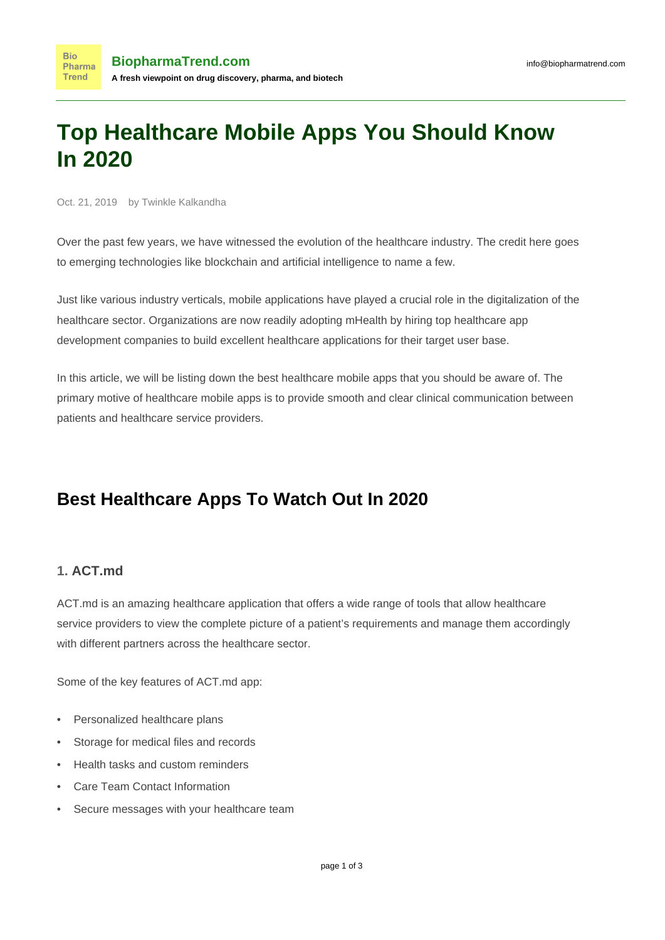# **Top Healthcare Mobile Apps You Should Know In 2020**

Oct. 21, 2019 by Twinkle Kalkandha

Over the past few years, we have witnessed the evolution of the healthcare industry. The credit here goes to emerging technologies like blockchain and artificial intelligence to name a few.

Just like various industry verticals, mobile applications have played a crucial role in the digitalization of the healthcare sector. Organizations are now readily adopting mHealth by hiring [top healthcare app](https://www.mobileappdaily.com/reports/top-healthcare-app-development-companies) [development companies](https://www.mobileappdaily.com/reports/top-healthcare-app-development-companies) to build excellent healthcare applications for their target user base.

In this article, we will be listing down the best healthcare mobile apps that you should be aware of. The primary motive of healthcare mobile apps is to provide smooth and clear clinical communication between patients and healthcare service providers.

# **Best Healthcare Apps To Watch Out In 2020**

## **1. [ACT.md](https://www.act.md/carehub)**

ACT.md is an amazing healthcare application that offers a wide range of tools that allow healthcare service providers to view the complete picture of a patient's requirements and manage them accordingly with different partners across the healthcare sector.

Some of the key features of ACT.md app:

- Personalized healthcare plans
- Storage for medical files and records
- Health tasks and custom reminders
- Care Team Contact Information
- Secure messages with your healthcare team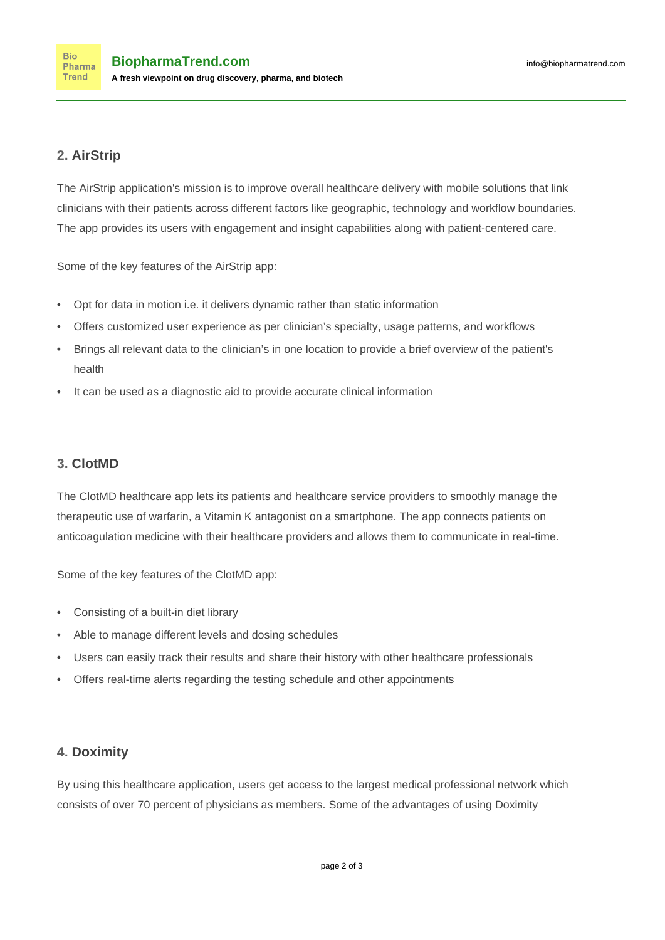# **2. [AirStrip](https://www.airstrip.com/airstrip-one)**

The AirStrip application's mission is to improve overall healthcare delivery with mobile solutions that link clinicians with their patients across different factors like geographic, technology and workflow boundaries. The app provides its users with engagement and insight capabilities along with patient-centered care.

Some of the key features of the AirStrip app:

- Opt for data in motion i.e. it delivers dynamic rather than static information
- Offers customized user experience as per clinician's specialty, usage patterns, and workflows
- Brings all relevant data to the clinician's in one location to provide a brief overview of the patient's health
- It can be used as a diagnostic aid to provide accurate clinical information

# **3. [ClotMD](https://clotmd.com/)**

The ClotMD healthcare app lets its patients and healthcare service providers to smoothly manage the therapeutic use of warfarin, a Vitamin K antagonist on a smartphone. The app connects patients on anticoagulation medicine with their healthcare providers and allows them to communicate in real-time.

Some of the key features of the ClotMD app:

- Consisting of a built-in diet library
- Able to manage different levels and dosing schedules
- Users can easily track their results and share their history with other healthcare professionals
- Offers real-time alerts regarding the testing schedule and other appointments

## **4. [Doximity](https://www.doximity.com/app)**

By using this healthcare application, users get access to the largest medical professional network which consists of over 70 percent of physicians as members. Some of the advantages of using Doximity